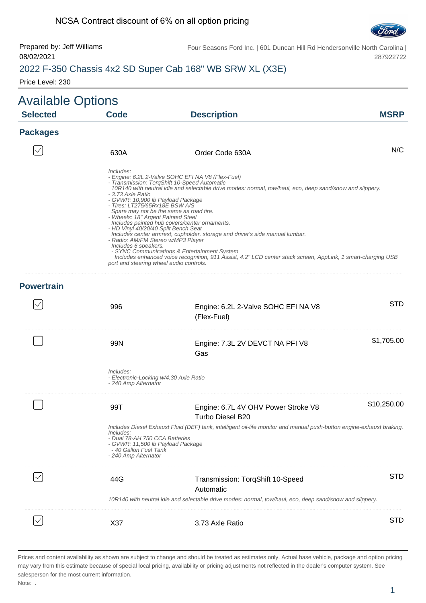#### NCSA Contract discount of 6% on all option pricing



Prepared by: Jeff Williams 08/02/2021

Four Seasons Ford Inc. | 601 Duncan Hill Rd Hendersonville North Carolina | 287922722

### 2022 F-350 Chassis 4x2 SD Super Cab 168" WB SRW XL (X3E)

Price Level: 230

| <b>Available Options</b> |                                                                                                                                                                                                                                                                                              |                                                                                                                                                                                                                                                                                                                                                                                                                                                                                                                                                           |             |
|--------------------------|----------------------------------------------------------------------------------------------------------------------------------------------------------------------------------------------------------------------------------------------------------------------------------------------|-----------------------------------------------------------------------------------------------------------------------------------------------------------------------------------------------------------------------------------------------------------------------------------------------------------------------------------------------------------------------------------------------------------------------------------------------------------------------------------------------------------------------------------------------------------|-------------|
| <b>Selected</b>          | <b>Code</b>                                                                                                                                                                                                                                                                                  | <b>Description</b>                                                                                                                                                                                                                                                                                                                                                                                                                                                                                                                                        | <b>MSRP</b> |
| <b>Packages</b>          |                                                                                                                                                                                                                                                                                              |                                                                                                                                                                                                                                                                                                                                                                                                                                                                                                                                                           |             |
|                          | 630A                                                                                                                                                                                                                                                                                         | Order Code 630A                                                                                                                                                                                                                                                                                                                                                                                                                                                                                                                                           | N/C         |
|                          | Includes:<br>- 3.73 Axle Ratio<br>- GVWR: 10,900 lb Payload Package<br>- Tires: LT275/65Rx18E BSW A/S<br>- Wheels: 18" Argent Painted Steel<br>- HD Vinyl 40/20/40 Split Bench Seat<br>- Radio: AM/FM Stereo w/MP3 Player<br>Includes 6 speakers.<br>port and steering wheel audio controls. | - Engine: 6.2L 2-Valve SOHC EFI NA V8 (Flex-Fuel)<br>- Transmission: TorqShift 10-Speed Automatic<br>10R140 with neutral idle and selectable drive modes: normal, tow/haul, eco, deep sand/snow and slippery.<br>Spare may not be the same as road tire.<br>Includes painted hub covers/center ornaments.<br>Includes center armrest, cupholder, storage and driver's side manual lumbar.<br>- SYNC Communications & Entertainment System<br>Includes enhanced voice recognition, 911 Assist, 4.2" LCD center stack screen, AppLink, 1 smart-charging USB |             |
| <b>Powertrain</b>        |                                                                                                                                                                                                                                                                                              |                                                                                                                                                                                                                                                                                                                                                                                                                                                                                                                                                           |             |
|                          | 996                                                                                                                                                                                                                                                                                          | Engine: 6.2L 2-Valve SOHC EFI NA V8<br>(Flex-Fuel)                                                                                                                                                                                                                                                                                                                                                                                                                                                                                                        | <b>STD</b>  |
|                          | 99N                                                                                                                                                                                                                                                                                          | Engine: 7.3L 2V DEVCT NA PFI V8<br>Gas                                                                                                                                                                                                                                                                                                                                                                                                                                                                                                                    | \$1,705.00  |
|                          | Includes:<br>- Electronic-Locking w/4.30 Axle Ratio<br>- 240 Amp Alternator                                                                                                                                                                                                                  |                                                                                                                                                                                                                                                                                                                                                                                                                                                                                                                                                           |             |
|                          | 99T                                                                                                                                                                                                                                                                                          | Engine: 6.7L 4V OHV Power Stroke V8<br>Turbo Diesel B20                                                                                                                                                                                                                                                                                                                                                                                                                                                                                                   | \$10,250.00 |
|                          | Includes:<br>- Dual 78-AH 750 CCA Batteries<br>- GVWR: 11,500 lb Payload Package<br>- 40 Gallon Fuel Tank<br>- 240 Amp Alternator                                                                                                                                                            | Includes Diesel Exhaust Fluid (DEF) tank, intelligent oil-life monitor and manual push-button engine-exhaust braking.                                                                                                                                                                                                                                                                                                                                                                                                                                     |             |
|                          | 44G                                                                                                                                                                                                                                                                                          | Transmission: TorqShift 10-Speed<br>Automatic<br>10R140 with neutral idle and selectable drive modes: normal, tow/haul, eco, deep sand/snow and slippery.                                                                                                                                                                                                                                                                                                                                                                                                 | <b>STD</b>  |
|                          | X37                                                                                                                                                                                                                                                                                          | 3.73 Axle Ratio                                                                                                                                                                                                                                                                                                                                                                                                                                                                                                                                           | <b>STD</b>  |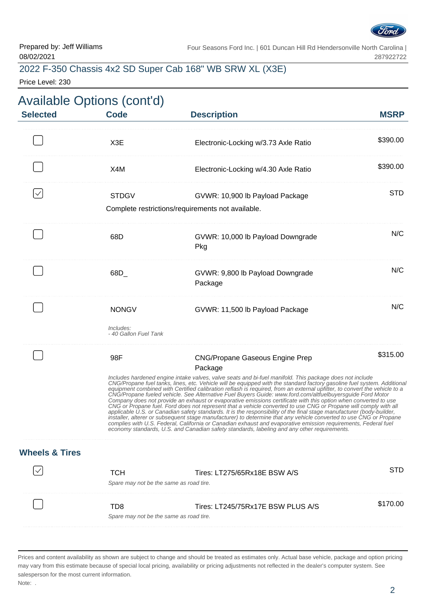

### 2022 F-350 Chassis 4x2 SD Super Cab 168" WB SRW XL (X3E)

Price Level: 230

|             |                                                                                                                                                                                                                                                                                                                                                                                                                                                                                                                                                                                                                                                                                                                                                                                                                                                                                                                                                                                                                                                                                                                                                                                                                                          | <b>Available Options (cont'd)</b>                           |                           |
|-------------|------------------------------------------------------------------------------------------------------------------------------------------------------------------------------------------------------------------------------------------------------------------------------------------------------------------------------------------------------------------------------------------------------------------------------------------------------------------------------------------------------------------------------------------------------------------------------------------------------------------------------------------------------------------------------------------------------------------------------------------------------------------------------------------------------------------------------------------------------------------------------------------------------------------------------------------------------------------------------------------------------------------------------------------------------------------------------------------------------------------------------------------------------------------------------------------------------------------------------------------|-------------------------------------------------------------|---------------------------|
| <b>MSRP</b> | <b>Description</b>                                                                                                                                                                                                                                                                                                                                                                                                                                                                                                                                                                                                                                                                                                                                                                                                                                                                                                                                                                                                                                                                                                                                                                                                                       | <b>Code</b>                                                 | <b>Selected</b>           |
| \$390.00    | Electronic-Locking w/3.73 Axle Ratio                                                                                                                                                                                                                                                                                                                                                                                                                                                                                                                                                                                                                                                                                                                                                                                                                                                                                                                                                                                                                                                                                                                                                                                                     | X <sub>3</sub> E                                            |                           |
| \$390.00    | Electronic-Locking w/4.30 Axle Ratio                                                                                                                                                                                                                                                                                                                                                                                                                                                                                                                                                                                                                                                                                                                                                                                                                                                                                                                                                                                                                                                                                                                                                                                                     | X4M                                                         |                           |
| <b>STD</b>  | GVWR: 10,900 lb Payload Package<br>Complete restrictions/requirements not available.                                                                                                                                                                                                                                                                                                                                                                                                                                                                                                                                                                                                                                                                                                                                                                                                                                                                                                                                                                                                                                                                                                                                                     | <b>STDGV</b>                                                |                           |
| N/C         | GVWR: 10,000 lb Payload Downgrade<br>Pkg                                                                                                                                                                                                                                                                                                                                                                                                                                                                                                                                                                                                                                                                                                                                                                                                                                                                                                                                                                                                                                                                                                                                                                                                 | 68D                                                         |                           |
| N/C         | GVWR: 9,800 lb Payload Downgrade<br>Package                                                                                                                                                                                                                                                                                                                                                                                                                                                                                                                                                                                                                                                                                                                                                                                                                                                                                                                                                                                                                                                                                                                                                                                              | 68D                                                         |                           |
| N/C         | GVWR: 11,500 lb Payload Package                                                                                                                                                                                                                                                                                                                                                                                                                                                                                                                                                                                                                                                                                                                                                                                                                                                                                                                                                                                                                                                                                                                                                                                                          | <b>NONGV</b><br>Includes:<br>- 40 Gallon Fuel Tank          |                           |
| \$315.00    | <b>CNG/Propane Gaseous Engine Prep</b><br>Package<br>Includes hardened engine intake valves, valve seats and bi-fuel manifold. This package does not include<br>CNG/Propane fuel tanks, lines, etc. Vehicle will be equipped with the standard factory gasoline fuel system. Additional<br>equipment combined with Certified calibration reflash is required, from an external upfitter, to convert the vehicle to a<br>CNG/Propane fueled vehicle. See Alternative Fuel Buyers Guide: www.ford.com/altfuelbuyersguide Ford Motor<br>Company does not provide an exhaust or evaporative emissions certificate with this option when converted to use<br>CNG or Propane fuel. Ford does not represent that a vehicle converted to use CNG or Propane will comply with all<br>applicable U.S. or Canadian safety standards. It is the responsibility of the final stage manufacturer (body-builder,<br>installer, alterer or subsequent stage manufacturer) to determine that any vehicle converted to use CNG or Propane<br>complies with U.S. Federal, California or Canadian exhaust and evaporative emission requirements, Federal fuel<br>economy standards, U.S. and Canadian safety standards, labeling and any other requirements. | 98F                                                         |                           |
|             |                                                                                                                                                                                                                                                                                                                                                                                                                                                                                                                                                                                                                                                                                                                                                                                                                                                                                                                                                                                                                                                                                                                                                                                                                                          |                                                             | <b>Wheels &amp; Tires</b> |
| <b>STD</b>  | Tires: LT275/65Rx18E BSW A/S                                                                                                                                                                                                                                                                                                                                                                                                                                                                                                                                                                                                                                                                                                                                                                                                                                                                                                                                                                                                                                                                                                                                                                                                             | <b>TCH</b><br>Spare may not be the same as road tire.       |                           |
| \$170.00    | Tires: LT245/75Rx17E BSW PLUS A/S                                                                                                                                                                                                                                                                                                                                                                                                                                                                                                                                                                                                                                                                                                                                                                                                                                                                                                                                                                                                                                                                                                                                                                                                        | T <sub>D</sub> 8<br>Spare may not be the same as road tire. |                           |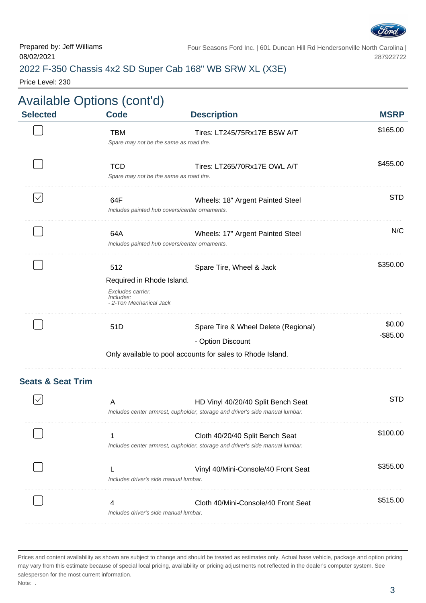

# 2022 F-350 Chassis 4x2 SD Super Cab 168" WB SRW XL (X3E)

Price Level: 230

| <b>Selected</b>              | <b>Code</b>                                                                                   | <b>Description</b>                                                                                                 | <b>MSRP</b>           |
|------------------------------|-----------------------------------------------------------------------------------------------|--------------------------------------------------------------------------------------------------------------------|-----------------------|
|                              | <b>TBM</b><br>Spare may not be the same as road tire.                                         | Tires: LT245/75Rx17E BSW A/T                                                                                       | \$165.00              |
|                              | <b>TCD</b><br>Spare may not be the same as road tire.                                         | Tires: LT265/70Rx17E OWL A/T                                                                                       | \$455.00              |
| $\checkmark$                 | 64F                                                                                           | Wheels: 18" Argent Painted Steel<br>Includes painted hub covers/center ornaments.                                  | <b>STD</b>            |
|                              | 64A                                                                                           | Wheels: 17" Argent Painted Steel<br>Includes painted hub covers/center ornaments.                                  | N/C                   |
|                              | 512<br>Required in Rhode Island.<br>Excludes carrier.<br>Includes:<br>- 2-Ton Mechanical Jack | Spare Tire, Wheel & Jack                                                                                           | \$350.00              |
|                              | 51D                                                                                           | Spare Tire & Wheel Delete (Regional)<br>- Option Discount                                                          | \$0.00<br>$-$ \$85.00 |
|                              |                                                                                               | Only available to pool accounts for sales to Rhode Island.                                                         |                       |
| <b>Seats &amp; Seat Trim</b> |                                                                                               |                                                                                                                    |                       |
|                              | A                                                                                             | HD Vinyl 40/20/40 Split Bench Seat<br>Includes center armrest, cupholder, storage and driver's side manual lumbar. | <b>STD</b>            |
|                              |                                                                                               | Cloth 40/20/40 Split Bench Seat<br>Includes center armrest, cupholder, storage and driver's side manual lumbar.    | \$100.00              |
|                              | Includes driver's side manual lumbar.                                                         | Vinyl 40/Mini-Console/40 Front Seat                                                                                | \$355.00              |
|                              | 4<br>Includes driver's side manual lumbar.                                                    | Cloth 40/Mini-Console/40 Front Seat                                                                                | \$515.00              |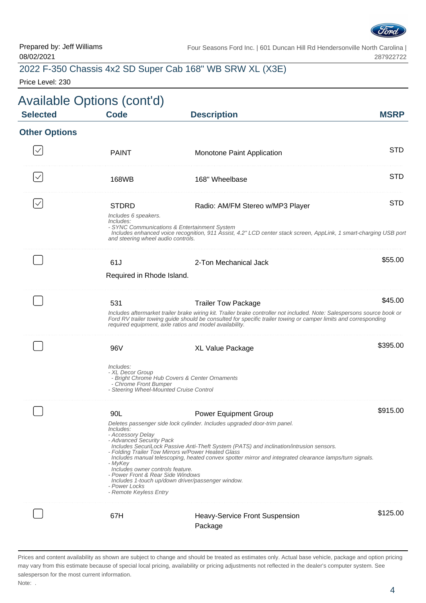

### 2022 F-350 Chassis 4x2 SD Super Cab 168" WB SRW XL (X3E)

Price Level: 230

|                      | <b>Available Options (cont'd)</b>                                                                                |                                                                                                                                                                                                                                                                          |             |
|----------------------|------------------------------------------------------------------------------------------------------------------|--------------------------------------------------------------------------------------------------------------------------------------------------------------------------------------------------------------------------------------------------------------------------|-------------|
| <b>Selected</b>      | <b>Code</b>                                                                                                      | <b>Description</b>                                                                                                                                                                                                                                                       | <b>MSRP</b> |
| <b>Other Options</b> |                                                                                                                  |                                                                                                                                                                                                                                                                          |             |
|                      | <b>PAINT</b>                                                                                                     | Monotone Paint Application                                                                                                                                                                                                                                               | <b>STD</b>  |
|                      | 168WB                                                                                                            | 168" Wheelbase                                                                                                                                                                                                                                                           | STD         |
|                      | <b>STDRD</b><br>Includes 6 speakers.<br>Includes:                                                                | Radio: AM/FM Stereo w/MP3 Player<br>- SYNC Communications & Entertainment System<br>Includes enhanced voice recognition, 911 Assist, 4.2" LCD center stack screen, AppLink, 1 smart-charging USB port                                                                    | <b>STD</b>  |
|                      | and steering wheel audio controls.                                                                               |                                                                                                                                                                                                                                                                          |             |
|                      | 61J                                                                                                              | 2-Ton Mechanical Jack                                                                                                                                                                                                                                                    | \$55.00     |
|                      | Required in Rhode Island.                                                                                        |                                                                                                                                                                                                                                                                          |             |
|                      | 531                                                                                                              | <b>Trailer Tow Package</b><br>Includes aftermarket trailer brake wiring kit. Trailer brake controller not included. Note: Salespersons source book or<br>Ford RV trailer towing guide should be consulted for specific trailer towing or camper limits and corresponding | \$45.00     |
|                      |                                                                                                                  | required equipment, axle ratios and model availability.                                                                                                                                                                                                                  |             |
|                      | 96V                                                                                                              | XL Value Package                                                                                                                                                                                                                                                         | \$395.00    |
|                      | Includes:<br>- XL Decor Group<br>- Chrome Front Bumper<br>- Steering Wheel-Mounted Cruise Control                | - Bright Chrome Hub Covers & Center Ornaments                                                                                                                                                                                                                            |             |
|                      | 90L                                                                                                              | <b>Power Equipment Group</b>                                                                                                                                                                                                                                             | \$915.00    |
|                      | <i>Includes:</i><br>- Accessory Delay<br>- Advanced Security Pack                                                | Deletes passenger side lock cylinder. Includes upgraded door-trim panel.                                                                                                                                                                                                 |             |
|                      | - MyKey                                                                                                          | Includes SecuriLock Passive Anti-Theft System (PATS) and inclination/intrusion sensors.<br>- Folding Trailer Tow Mirrors w/Power Heated Glass<br>Includes manual telescoping, heated convex spotter mirror and integrated clearance lamps/turn signals.                  |             |
|                      | Includes owner controls feature.<br>- Power Front & Rear Side Windows<br>- Power Locks<br>- Remote Keyless Entry | Includes 1-touch up/down driver/passenger window.                                                                                                                                                                                                                        |             |
|                      | 67H                                                                                                              | <b>Heavy-Service Front Suspension</b>                                                                                                                                                                                                                                    | \$125.00    |
|                      |                                                                                                                  | Package                                                                                                                                                                                                                                                                  |             |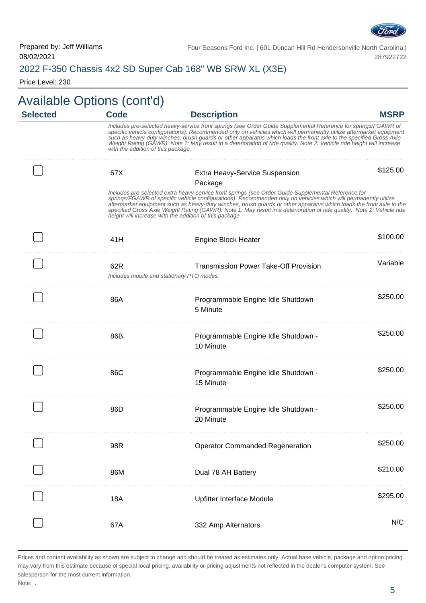

# 2022 F-350 Chassis 4x2 SD Super Cab 168" WB SRW XL (X3E)

Price Level: 230

|                 | <b>Available Options (cont'd)</b>  |                                                                                                                                                                                                                                                                                                                                                                                                                                                                                                                                   |             |
|-----------------|------------------------------------|-----------------------------------------------------------------------------------------------------------------------------------------------------------------------------------------------------------------------------------------------------------------------------------------------------------------------------------------------------------------------------------------------------------------------------------------------------------------------------------------------------------------------------------|-------------|
| <b>Selected</b> | <b>Code</b>                        | <b>Description</b>                                                                                                                                                                                                                                                                                                                                                                                                                                                                                                                | <b>MSRP</b> |
|                 | with the addition of this package. | Includes pre-selected heavy-service front springs (see Order Guide Supplemental Reference for springs/FGAWR of<br>specific vehicle configurations). Recommended only on vehicles which will permanently utilize aftermarket equipment<br>such as heavy-duty winches, brush guards or other apparatus which loads the front axle to the specified Gross Axle<br>Weight Rating (GÁWR). Note 1: May result in a deterioration of ride quality. Note 2: Vehicle ride height will increase                                             |             |
|                 | 67X                                | <b>Extra Heavy-Service Suspension</b><br>Package                                                                                                                                                                                                                                                                                                                                                                                                                                                                                  | \$125.00    |
|                 |                                    | Includes pre-selected extra heavy-service front springs (see Order Guide Supplemental Reference for<br>springs/FGAWR of specific vehicle configurations). Recommended only on vehicles which will permanently utilize<br>aftermarket equipment such as heavy-duty winches, brush guards or other apparatus which loads the front axle to the<br>specified Gross Axle Weight Rating (GAWR). Note 1: May result in a deterioration of ride quality. Note 2: Vehicle ride<br>height will increase with the addition of this package. |             |
|                 | 41H                                | <b>Engine Block Heater</b>                                                                                                                                                                                                                                                                                                                                                                                                                                                                                                        | \$100.00    |
|                 | 62R                                | <b>Transmission Power Take-Off Provision</b><br>Includes mobile and stationary PTO modes.                                                                                                                                                                                                                                                                                                                                                                                                                                         | Variable    |
|                 | 86A                                | Programmable Engine Idle Shutdown -<br>5 Minute                                                                                                                                                                                                                                                                                                                                                                                                                                                                                   | \$250.00    |
|                 | 86B                                | Programmable Engine Idle Shutdown -<br>10 Minute                                                                                                                                                                                                                                                                                                                                                                                                                                                                                  | \$250.00    |
|                 | 86C                                | Programmable Engine Idle Shutdown -<br>15 Minute                                                                                                                                                                                                                                                                                                                                                                                                                                                                                  | \$250.00    |
|                 | 86D                                | Programmable Engine Idle Shutdown -<br>20 Minute                                                                                                                                                                                                                                                                                                                                                                                                                                                                                  | \$250.00    |
|                 | 98R                                | <b>Operator Commanded Regeneration</b>                                                                                                                                                                                                                                                                                                                                                                                                                                                                                            | \$250.00    |
|                 | 86M                                | Dual 78 AH Battery                                                                                                                                                                                                                                                                                                                                                                                                                                                                                                                | \$210.00    |
|                 | 18A                                | Upfitter Interface Module                                                                                                                                                                                                                                                                                                                                                                                                                                                                                                         | \$295.00    |
|                 | 67A                                | 332 Amp Alternators                                                                                                                                                                                                                                                                                                                                                                                                                                                                                                               | N/C         |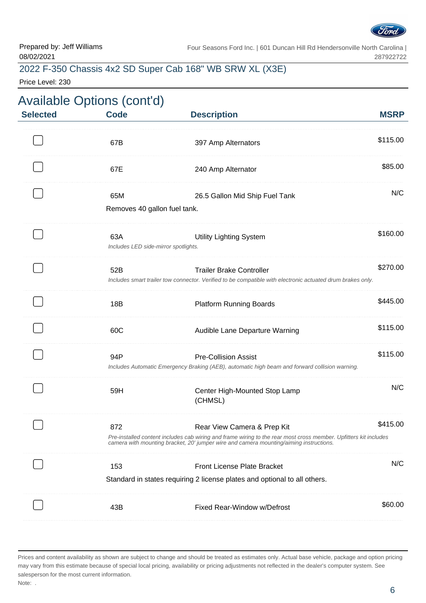

# 2022 F-350 Chassis 4x2 SD Super Cab 168" WB SRW XL (X3E)

Price Level: 230

|                 | <b>Available Options (cont'd)</b>           |                                                                                                                                                                                                                                           |             |
|-----------------|---------------------------------------------|-------------------------------------------------------------------------------------------------------------------------------------------------------------------------------------------------------------------------------------------|-------------|
| <b>Selected</b> | <b>Code</b>                                 | <b>Description</b>                                                                                                                                                                                                                        | <b>MSRP</b> |
|                 | 67B                                         | 397 Amp Alternators                                                                                                                                                                                                                       | \$115.00    |
|                 | 67E                                         | 240 Amp Alternator                                                                                                                                                                                                                        | \$85.00     |
|                 | 65M<br>Removes 40 gallon fuel tank.         | 26.5 Gallon Mid Ship Fuel Tank                                                                                                                                                                                                            | N/C         |
|                 | 63A<br>Includes LED side-mirror spotlights. | <b>Utility Lighting System</b>                                                                                                                                                                                                            | \$160.00    |
|                 | 52B                                         | <b>Trailer Brake Controller</b><br>Includes smart trailer tow connector. Verified to be compatible with electronic actuated drum brakes only.                                                                                             | \$270.00    |
|                 | 18B                                         | <b>Platform Running Boards</b>                                                                                                                                                                                                            | \$445.00    |
|                 | 60C                                         | Audible Lane Departure Warning                                                                                                                                                                                                            | \$115.00    |
|                 | 94P                                         | <b>Pre-Collision Assist</b><br>Includes Automatic Emergency Braking (AEB), automatic high beam and forward collision warning.                                                                                                             | \$115.00    |
|                 | 59H                                         | Center High-Mounted Stop Lamp<br>(CHMSL)                                                                                                                                                                                                  | N/C         |
|                 | 872                                         | Rear View Camera & Prep Kit<br>Pre-installed content includes cab wiring and frame wiring to the rear most cross member. Upfitters kit includes<br>camera with mounting bracket, 20' jumper wire and camera mounting/aiming instructions. | \$415.00    |
|                 | 153                                         | <b>Front License Plate Bracket</b><br>Standard in states requiring 2 license plates and optional to all others.                                                                                                                           | N/C         |
|                 | 43B                                         | Fixed Rear-Window w/Defrost                                                                                                                                                                                                               | \$60.00     |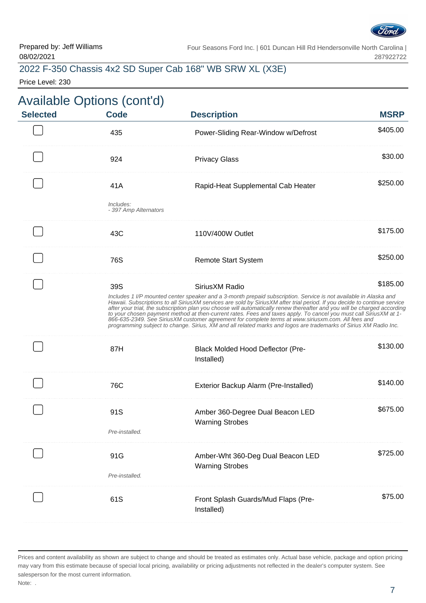

### 2022 F-350 Chassis 4x2 SD Super Cab 168" WB SRW XL (X3E)

Price Level: 230

|                | <b>Description</b>                                          | <b>MSRP</b>                                                                                                                                                                                                                                                                                                                                                                                                                                                                                                                                                                                                                                                                                                                                                                 |
|----------------|-------------------------------------------------------------|-----------------------------------------------------------------------------------------------------------------------------------------------------------------------------------------------------------------------------------------------------------------------------------------------------------------------------------------------------------------------------------------------------------------------------------------------------------------------------------------------------------------------------------------------------------------------------------------------------------------------------------------------------------------------------------------------------------------------------------------------------------------------------|
| 435            | Power-Sliding Rear-Window w/Defrost                         | \$405.00                                                                                                                                                                                                                                                                                                                                                                                                                                                                                                                                                                                                                                                                                                                                                                    |
| 924            | <b>Privacy Glass</b>                                        | \$30.00                                                                                                                                                                                                                                                                                                                                                                                                                                                                                                                                                                                                                                                                                                                                                                     |
| 41A            | Rapid-Heat Supplemental Cab Heater                          | \$250.00                                                                                                                                                                                                                                                                                                                                                                                                                                                                                                                                                                                                                                                                                                                                                                    |
| Includes:      |                                                             |                                                                                                                                                                                                                                                                                                                                                                                                                                                                                                                                                                                                                                                                                                                                                                             |
| 43C            | 110V/400W Outlet                                            | \$175.00                                                                                                                                                                                                                                                                                                                                                                                                                                                                                                                                                                                                                                                                                                                                                                    |
| 76S            | <b>Remote Start System</b>                                  | \$250.00                                                                                                                                                                                                                                                                                                                                                                                                                                                                                                                                                                                                                                                                                                                                                                    |
| 39S            | SiriusXM Radio                                              | \$185.00                                                                                                                                                                                                                                                                                                                                                                                                                                                                                                                                                                                                                                                                                                                                                                    |
| 87H            | Black Molded Hood Deflector (Pre-<br>Installed)             | \$130.00                                                                                                                                                                                                                                                                                                                                                                                                                                                                                                                                                                                                                                                                                                                                                                    |
| 76C            | Exterior Backup Alarm (Pre-Installed)                       | \$140.00                                                                                                                                                                                                                                                                                                                                                                                                                                                                                                                                                                                                                                                                                                                                                                    |
| 91S            | Amber 360-Degree Dual Beacon LED                            | \$675.00                                                                                                                                                                                                                                                                                                                                                                                                                                                                                                                                                                                                                                                                                                                                                                    |
| Pre-installed. |                                                             |                                                                                                                                                                                                                                                                                                                                                                                                                                                                                                                                                                                                                                                                                                                                                                             |
| 91G            | Amber-Wht 360-Deg Dual Beacon LED<br><b>Warning Strobes</b> | \$725.00                                                                                                                                                                                                                                                                                                                                                                                                                                                                                                                                                                                                                                                                                                                                                                    |
|                |                                                             |                                                                                                                                                                                                                                                                                                                                                                                                                                                                                                                                                                                                                                                                                                                                                                             |
| 61S            | Front Splash Guards/Mud Flaps (Pre-<br>Installed)           | \$75.00                                                                                                                                                                                                                                                                                                                                                                                                                                                                                                                                                                                                                                                                                                                                                                     |
|                | Pre-installed.                                              | - 397 Amp Alternators<br>Includes 1 I/P mounted center speaker and a 3-month prepaid subscription. Service is not available in Alaska and<br>Hawaii. Subscriptions to all SiriusXM services are sold by SiriusXM after trial period. If you decide to continue service<br>after your trial, the subscription plan you choose will automatically renew thereafter and you will be charged according<br>to your chosen payment method at then-current rates. Fees and taxes apply. To cancel you must call SiriusXM at 1-<br>866-635-2349. See SiriusXM customer agreement for complete terms at www.siriusxm.com. All fees and<br>programming subject to change. Sirius, XM and all related marks and logos are trademarks of Sirius XM Radio Inc.<br><b>Warning Strobes</b> |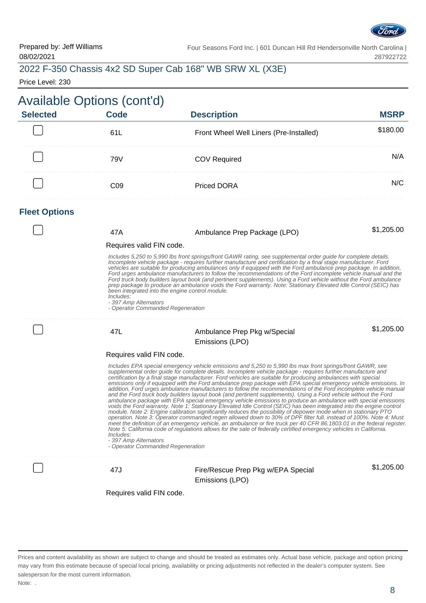

# 2022 F-350 Chassis 4x2 SD Super Cab 168" WB SRW XL (X3E)

Price Level: 230

| Available Options (cont'd) |      |                                         |        |  |
|----------------------------|------|-----------------------------------------|--------|--|
| <b>Selected</b>            | Code | <b>Description</b>                      |        |  |
|                            |      | Front Wheel Well Liners (Pre-Installed) | 180.00 |  |
|                            | 79V  | COV Required                            |        |  |
|                            |      | <b>Priced DORA</b>                      |        |  |

#### **Fleet Options**

| 47A                                                                                                                        | Ambulance Prep Package (LPO)                                                                                                                                                                                                                                                                                                                                                                                                                                                                                                                                                                                                                                                                                                                                                                                                                                                                                                                                                                                                                                                                                                                                                                                                                                                                                                                                                                                                            | \$1,205.00 |
|----------------------------------------------------------------------------------------------------------------------------|-----------------------------------------------------------------------------------------------------------------------------------------------------------------------------------------------------------------------------------------------------------------------------------------------------------------------------------------------------------------------------------------------------------------------------------------------------------------------------------------------------------------------------------------------------------------------------------------------------------------------------------------------------------------------------------------------------------------------------------------------------------------------------------------------------------------------------------------------------------------------------------------------------------------------------------------------------------------------------------------------------------------------------------------------------------------------------------------------------------------------------------------------------------------------------------------------------------------------------------------------------------------------------------------------------------------------------------------------------------------------------------------------------------------------------------------|------------|
| Requires valid FIN code.                                                                                                   |                                                                                                                                                                                                                                                                                                                                                                                                                                                                                                                                                                                                                                                                                                                                                                                                                                                                                                                                                                                                                                                                                                                                                                                                                                                                                                                                                                                                                                         |            |
| been integrated into the engine control module.<br>Includes:<br>- 397 Amp Alternators<br>- Operator Commanded Regeneration | Includes 5,250 to 5,990 lbs front springs/front GAWR rating, see supplemental order guide for complete details.<br>Incomplete vehicle package - requires further manufacture and certification by a final stage manufacturer. Ford<br>vehicles are suitable for producing ambulances only if equipped with the Ford ambulance prep package. In addition,<br>Ford urges ambulance manufacturers to follow the recommendations of the Ford incomplete vehicle manual and the<br>Ford truck body builders layout book (and pertinent supplements). Using a Ford vehicle without the Ford ambulance<br>prep package to produce an ambulance voids the Ford warranty. Note: Stationary Elevated Idle Control (SEIC) has                                                                                                                                                                                                                                                                                                                                                                                                                                                                                                                                                                                                                                                                                                                      |            |
| 47L                                                                                                                        | Ambulance Prep Pkg w/Special<br>Emissions (LPO)                                                                                                                                                                                                                                                                                                                                                                                                                                                                                                                                                                                                                                                                                                                                                                                                                                                                                                                                                                                                                                                                                                                                                                                                                                                                                                                                                                                         | \$1,205.00 |
| Requires valid FIN code.                                                                                                   |                                                                                                                                                                                                                                                                                                                                                                                                                                                                                                                                                                                                                                                                                                                                                                                                                                                                                                                                                                                                                                                                                                                                                                                                                                                                                                                                                                                                                                         |            |
| Includes:<br>- 397 Amp Alternators<br>- Operator Commanded Regeneration                                                    | Includes EPA special emergency vehicle emissions and 5,250 to 5,990 lbs max front springs/front GAWR, see<br>supplemental order guide for complete details. Incomplete vehicle package - requires further manufacture and<br>certification by a final stage manufacturer. Ford vehicles are suitable for producing ambulances with special<br>emissions only if equipped with the Ford ambulance prep package with EPA special emergency vehicle emissions. In<br>addition, Ford urges ambulance manufacturers to follow the recommendations of the Ford incomplete vehicle manual<br>and the Ford truck body builders layout book (and pertinent supplements). Using a Ford vehicle without the Ford<br>ambulance package with EPA special emergency vehicle emissions to produce an ambulance with special emissions<br>voids the Ford warranty. Note 1: Stationary Elevated Idle Control (SEIC) has been integrated into the engine control<br>module. Note 2: Engine calibration significantly reduces the possibility of depower mode when in stationary PTO<br>operation. Note 3: Operator commanded regen allowed down to 30% of DPF filter full, instead of 100%. Note 4: Must<br>meet the definition of an emergency vehicle, an ambulance or fire truck per 40 CFR 86.1803.01 in the federal register.<br>Note 5: California code of regulations allows for the sale of federally certified emergency vehicles in California. |            |
| 47J                                                                                                                        | Fire/Rescue Prep Pkg w/EPA Special<br>Emissions (LPO)                                                                                                                                                                                                                                                                                                                                                                                                                                                                                                                                                                                                                                                                                                                                                                                                                                                                                                                                                                                                                                                                                                                                                                                                                                                                                                                                                                                   | \$1,205.00 |
| Requires valid FIN code.                                                                                                   |                                                                                                                                                                                                                                                                                                                                                                                                                                                                                                                                                                                                                                                                                                                                                                                                                                                                                                                                                                                                                                                                                                                                                                                                                                                                                                                                                                                                                                         |            |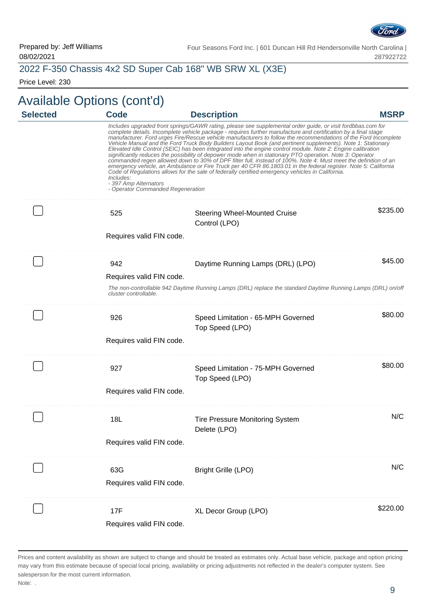

#### 2022 F-350 Chassis 4x2 SD Super Cab 168" WB SRW XL (X3E)

Price Level: 230

# Available Options (cont'd)

| <b>Selected</b> | <b>Code</b>                                                             | <b>Description</b>                                                                                                                                                                                                                                                                                                                                                                                                                                                                                                                                                                                                                                                                                                                                                                                                                                                                                                                                                                                                                   | <b>MSRP</b> |
|-----------------|-------------------------------------------------------------------------|--------------------------------------------------------------------------------------------------------------------------------------------------------------------------------------------------------------------------------------------------------------------------------------------------------------------------------------------------------------------------------------------------------------------------------------------------------------------------------------------------------------------------------------------------------------------------------------------------------------------------------------------------------------------------------------------------------------------------------------------------------------------------------------------------------------------------------------------------------------------------------------------------------------------------------------------------------------------------------------------------------------------------------------|-------------|
|                 | Includes:<br>- 397 Amp Alternators<br>- Operator Commanded Regeneration | Includes upgraded front springs/GAWR rating, please see supplemental order guide, or visit fordbbas.com for<br>complete details. Incomplete vehicle package - requires further manufacture and certification by a final stage<br>manufacturer. Ford urges Fire/Rescue vehicle manufacturers to follow the recommendations of the Ford Incomplete<br>Vehicle Manual and the Ford Truck Body Builders Layout Book (and pertinent supplements). Note 1: Stationary<br>Elevated Idle Control (SEIC) has been integrated into the engine control module. Note 2: Engine calibration<br>significantly reduces the possibility of depower mode when in stationary PTO operation. Note 3: Operator<br>commanded regen allowed down to 30% of DPF filter full, instead of 100%. Note 4: Must meet the definition of an<br>emergency vehicle, an Ambulance or Fire Truck per 40 CFR 86.1803.01 in the federal register. Note 5: California<br>Code of Regulations allows for the sale of federally certified emergency vehicles in California. |             |
|                 | 525<br>Requires valid FIN code.                                         | <b>Steering Wheel-Mounted Cruise</b><br>Control (LPO)                                                                                                                                                                                                                                                                                                                                                                                                                                                                                                                                                                                                                                                                                                                                                                                                                                                                                                                                                                                | \$235.00    |
|                 | 942<br>Requires valid FIN code.<br>cluster controllable.                | Daytime Running Lamps (DRL) (LPO)<br>The non-controllable 942 Daytime Running Lamps (DRL) replace the standard Daytime Running Lamps (DRL) on/off                                                                                                                                                                                                                                                                                                                                                                                                                                                                                                                                                                                                                                                                                                                                                                                                                                                                                    | \$45.00     |
|                 | 926<br>Requires valid FIN code.                                         | Speed Limitation - 65-MPH Governed<br>Top Speed (LPO)                                                                                                                                                                                                                                                                                                                                                                                                                                                                                                                                                                                                                                                                                                                                                                                                                                                                                                                                                                                | \$80.00     |
|                 | 927<br>Requires valid FIN code.                                         | Speed Limitation - 75-MPH Governed<br>Top Speed (LPO)                                                                                                                                                                                                                                                                                                                                                                                                                                                                                                                                                                                                                                                                                                                                                                                                                                                                                                                                                                                | \$80.00     |
|                 | 18L<br>Requires valid FIN code.                                         | <b>Tire Pressure Monitoring System</b><br>Delete (LPO)                                                                                                                                                                                                                                                                                                                                                                                                                                                                                                                                                                                                                                                                                                                                                                                                                                                                                                                                                                               | N/C         |
|                 | 63G<br>Requires valid FIN code.                                         | <b>Bright Grille (LPO)</b>                                                                                                                                                                                                                                                                                                                                                                                                                                                                                                                                                                                                                                                                                                                                                                                                                                                                                                                                                                                                           | N/C         |
|                 | 17F<br>Requires valid FIN code.                                         | XL Decor Group (LPO)                                                                                                                                                                                                                                                                                                                                                                                                                                                                                                                                                                                                                                                                                                                                                                                                                                                                                                                                                                                                                 | \$220.00    |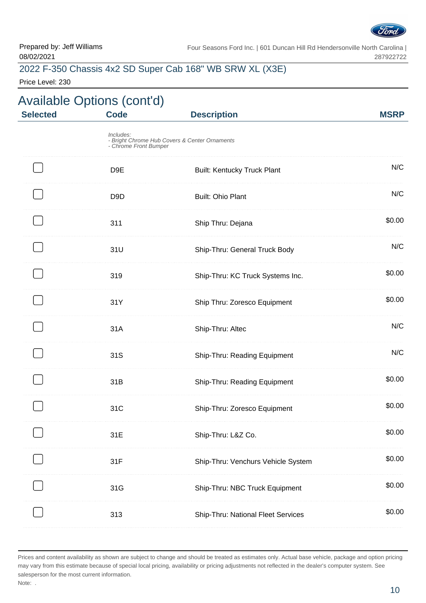

# 2022 F-350 Chassis 4x2 SD Super Cab 168" WB SRW XL (X3E)

Price Level: 230

| <b>Description</b>                 |                                                                                                                                                                                                                               | <b>Selected</b> |
|------------------------------------|-------------------------------------------------------------------------------------------------------------------------------------------------------------------------------------------------------------------------------|-----------------|
|                                    |                                                                                                                                                                                                                               |                 |
| <b>Built: Kentucky Truck Plant</b> |                                                                                                                                                                                                                               |                 |
| <b>Built: Ohio Plant</b>           |                                                                                                                                                                                                                               |                 |
| Ship Thru: Dejana                  |                                                                                                                                                                                                                               |                 |
| Ship-Thru: General Truck Body      |                                                                                                                                                                                                                               |                 |
| Ship-Thru: KC Truck Systems Inc.   |                                                                                                                                                                                                                               |                 |
| Ship Thru: Zoresco Equipment       |                                                                                                                                                                                                                               |                 |
| Ship-Thru: Altec                   |                                                                                                                                                                                                                               |                 |
| Ship-Thru: Reading Equipment       |                                                                                                                                                                                                                               |                 |
| Ship-Thru: Reading Equipment       |                                                                                                                                                                                                                               |                 |
| Ship-Thru: Zoresco Equipment       |                                                                                                                                                                                                                               |                 |
| Ship-Thru: L&Z Co.                 |                                                                                                                                                                                                                               |                 |
| Ship-Thru: Venchurs Vehicle System |                                                                                                                                                                                                                               |                 |
| Ship-Thru: NBC Truck Equipment     |                                                                                                                                                                                                                               |                 |
| Ship-Thru: National Fleet Services |                                                                                                                                                                                                                               |                 |
|                                    | <b>Code</b><br>Includes:<br>- Bright Chrome Hub Covers & Center Ornaments<br>- Chrome Front Bumper<br>D <sub>9E</sub><br>D <sub>9</sub> D<br>311<br>31U<br>319<br>31Y<br>31A<br>31S<br>31B<br>31C<br>31E<br>31F<br>31G<br>313 |                 |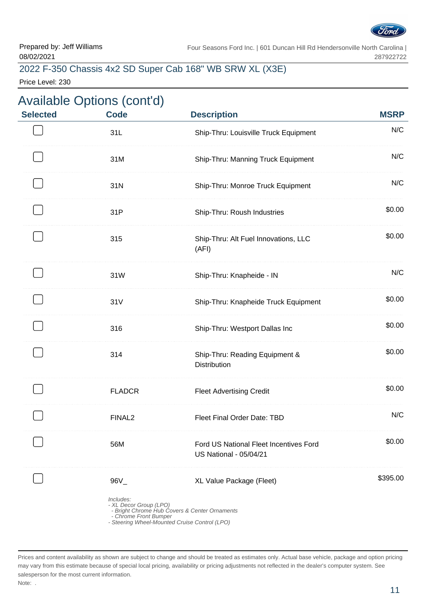

# 2022 F-350 Chassis 4x2 SD Super Cab 168" WB SRW XL (X3E)

Price Level: 230

| <b>Selected</b> | <b>Code</b>                        | <b>Description</b>                                                                                                       | <b>MSRP</b> |
|-----------------|------------------------------------|--------------------------------------------------------------------------------------------------------------------------|-------------|
|                 | 31L                                | Ship-Thru: Louisville Truck Equipment                                                                                    | N/C         |
|                 | 31M                                | Ship-Thru: Manning Truck Equipment                                                                                       | N/C         |
|                 | 31N                                | Ship-Thru: Monroe Truck Equipment                                                                                        | N/C         |
|                 | 31P                                | Ship-Thru: Roush Industries                                                                                              | \$0.00      |
|                 | 315                                | Ship-Thru: Alt Fuel Innovations, LLC<br>(AFI)                                                                            | \$0.00      |
|                 | 31W                                | Ship-Thru: Knapheide - IN                                                                                                | N/C         |
|                 | 31V                                | Ship-Thru: Knapheide Truck Equipment                                                                                     | \$0.00      |
|                 | 316                                | Ship-Thru: Westport Dallas Inc                                                                                           | \$0.00      |
|                 | 314                                | Ship-Thru: Reading Equipment &<br>Distribution                                                                           | \$0.00      |
|                 | <b>FLADCR</b>                      | <b>Fleet Advertising Credit</b>                                                                                          | \$0.00      |
|                 | F11110<br><b>FINALZ</b>            | Fleet Final Order Date: TBD                                                                                              | N/C         |
|                 | 56M                                | Ford US National Fleet Incentives Ford<br><b>US National - 05/04/21</b>                                                  | \$0.00      |
|                 | $96V_{-}$                          | XL Value Package (Fleet)                                                                                                 | \$395.00    |
|                 | Includes:<br>- Chrome Front Bumper | - XL Decor Group (LPO)<br>- Bright Chrome Hub Covers & Center Ornaments<br>- Steering Wheel-Mounted Cruise Control (LPO) |             |